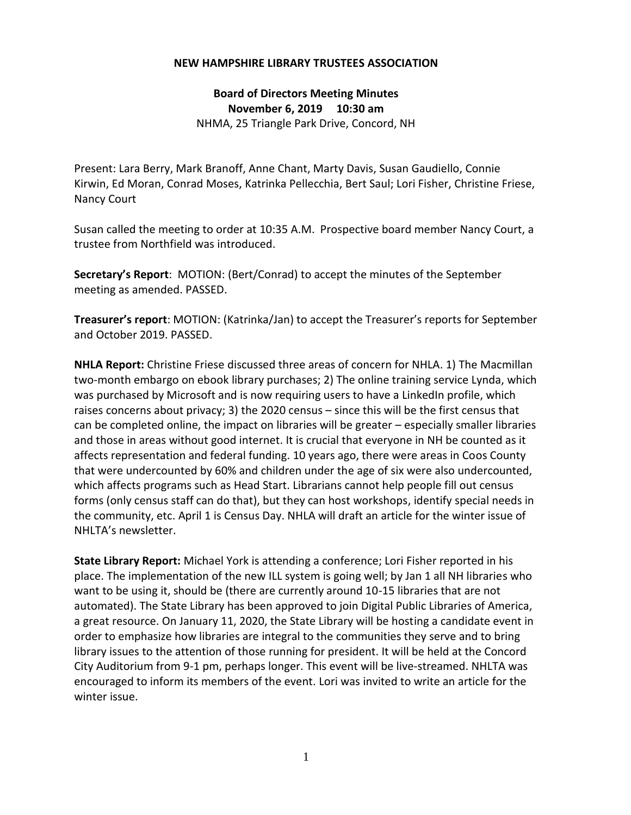## **NEW HAMPSHIRE LIBRARY TRUSTEES ASSOCIATION**

**Board of Directors Meeting Minutes November 6, 2019 10:30 am** NHMA, 25 Triangle Park Drive, Concord, NH

Present: Lara Berry, Mark Branoff, Anne Chant, Marty Davis, Susan Gaudiello, Connie Kirwin, Ed Moran, Conrad Moses, Katrinka Pellecchia, Bert Saul; Lori Fisher, Christine Friese, Nancy Court

Susan called the meeting to order at 10:35 A.M. Prospective board member Nancy Court, a trustee from Northfield was introduced.

**Secretary's Report**: MOTION: (Bert/Conrad) to accept the minutes of the September meeting as amended. PASSED.

**Treasurer's report**: MOTION: (Katrinka/Jan) to accept the Treasurer's reports for September and October 2019. PASSED.

**NHLA Report:** Christine Friese discussed three areas of concern for NHLA. 1) The Macmillan two-month embargo on ebook library purchases; 2) The online training service Lynda, which was purchased by Microsoft and is now requiring users to have a LinkedIn profile, which raises concerns about privacy; 3) the 2020 census – since this will be the first census that can be completed online, the impact on libraries will be greater – especially smaller libraries and those in areas without good internet. It is crucial that everyone in NH be counted as it affects representation and federal funding. 10 years ago, there were areas in Coos County that were undercounted by 60% and children under the age of six were also undercounted, which affects programs such as Head Start. Librarians cannot help people fill out census forms (only census staff can do that), but they can host workshops, identify special needs in the community, etc. April 1 is Census Day. NHLA will draft an article for the winter issue of NHLTA's newsletter.

**State Library Report:** Michael York is attending a conference; Lori Fisher reported in his place. The implementation of the new ILL system is going well; by Jan 1 all NH libraries who want to be using it, should be (there are currently around 10-15 libraries that are not automated). The State Library has been approved to join Digital Public Libraries of America, a great resource. On January 11, 2020, the State Library will be hosting a candidate event in order to emphasize how libraries are integral to the communities they serve and to bring library issues to the attention of those running for president. It will be held at the Concord City Auditorium from 9-1 pm, perhaps longer. This event will be live-streamed. NHLTA was encouraged to inform its members of the event. Lori was invited to write an article for the winter issue.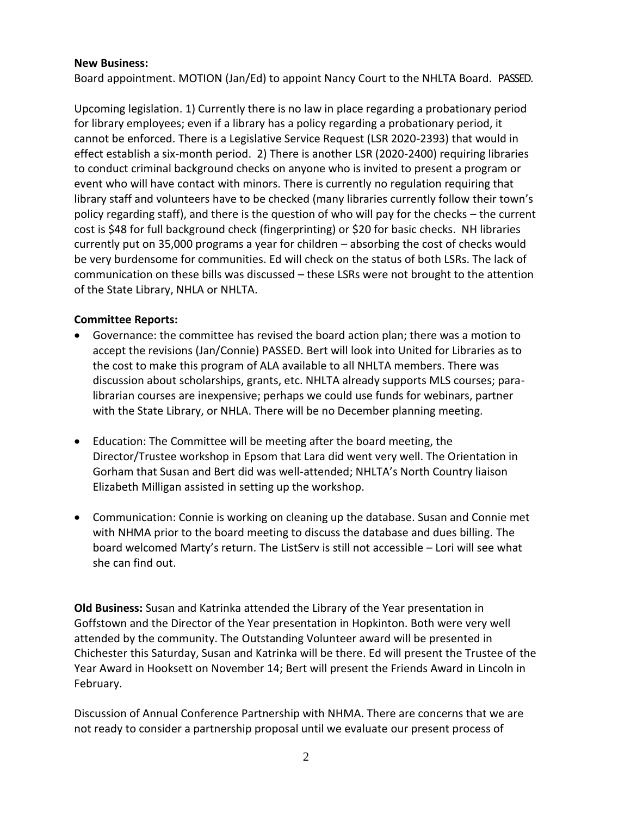## **New Business:**

Board appointment. MOTION (Jan/Ed) to appoint Nancy Court to the NHLTA Board. PASSED.

Upcoming legislation. 1) Currently there is no law in place regarding a probationary period for library employees; even if a library has a policy regarding a probationary period, it cannot be enforced. There is a Legislative Service Request (LSR 2020-2393) that would in effect establish a six-month period. 2) There is another LSR (2020-2400) requiring libraries to conduct criminal background checks on anyone who is invited to present a program or event who will have contact with minors. There is currently no regulation requiring that library staff and volunteers have to be checked (many libraries currently follow their town's policy regarding staff), and there is the question of who will pay for the checks – the current cost is \$48 for full background check (fingerprinting) or \$20 for basic checks. NH libraries currently put on 35,000 programs a year for children – absorbing the cost of checks would be very burdensome for communities. Ed will check on the status of both LSRs. The lack of communication on these bills was discussed – these LSRs were not brought to the attention of the State Library, NHLA or NHLTA.

## **Committee Reports:**

- Governance: the committee has revised the board action plan; there was a motion to accept the revisions (Jan/Connie) PASSED. Bert will look into United for Libraries as to the cost to make this program of ALA available to all NHLTA members. There was discussion about scholarships, grants, etc. NHLTA already supports MLS courses; paralibrarian courses are inexpensive; perhaps we could use funds for webinars, partner with the State Library, or NHLA. There will be no December planning meeting.
- Education: The Committee will be meeting after the board meeting, the Director/Trustee workshop in Epsom that Lara did went very well. The Orientation in Gorham that Susan and Bert did was well-attended; NHLTA's North Country liaison Elizabeth Milligan assisted in setting up the workshop.
- Communication: Connie is working on cleaning up the database. Susan and Connie met with NHMA prior to the board meeting to discuss the database and dues billing. The board welcomed Marty's return. The ListServ is still not accessible – Lori will see what she can find out.

**Old Business:** Susan and Katrinka attended the Library of the Year presentation in Goffstown and the Director of the Year presentation in Hopkinton. Both were very well attended by the community. The Outstanding Volunteer award will be presented in Chichester this Saturday, Susan and Katrinka will be there. Ed will present the Trustee of the Year Award in Hooksett on November 14; Bert will present the Friends Award in Lincoln in February.

Discussion of Annual Conference Partnership with NHMA. There are concerns that we are not ready to consider a partnership proposal until we evaluate our present process of